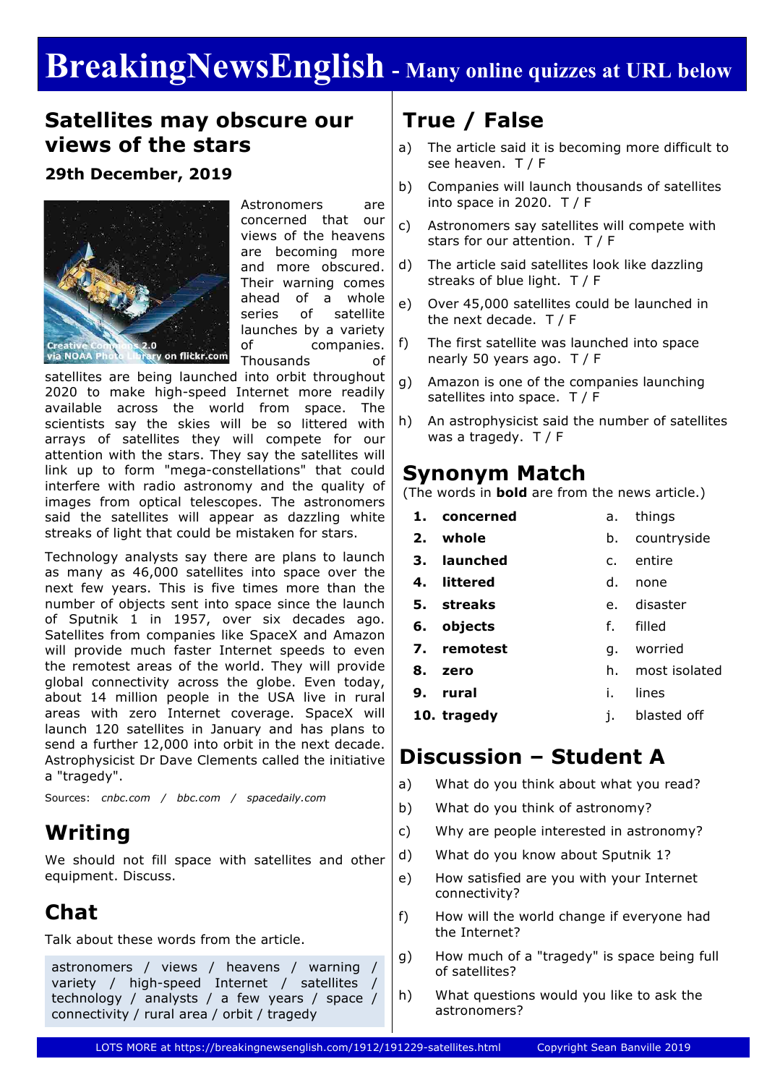# **BreakingNewsEnglish - Many online quizzes at URL below**

#### **Satellites may obscure our views of the stars**

#### **29th December, 2019**



Astronomers are concerned that our views of the heavens are becoming more and more obscured. Their warning comes ahead of a whole series of satellite launches by a variety of companies. Thousands of

satellites are being launched into orbit throughout 2020 to make high-speed Internet more readily available across the world from space. The scientists say the skies will be so littered with arrays of satellites they will compete for our attention with the stars. They say the satellites will link up to form "mega-constellations" that could interfere with radio astronomy and the quality of images from optical telescopes. The astronomers said the satellites will appear as dazzling white streaks of light that could be mistaken for stars.

Technology analysts say there are plans to launch as many as 46,000 satellites into space over the next few years. This is five times more than the number of objects sent into space since the launch of Sputnik 1 in 1957, over six decades ago. Satellites from companies like SpaceX and Amazon will provide much faster Internet speeds to even the remotest areas of the world. They will provide global connectivity across the globe. Even today, about 14 million people in the USA live in rural areas with zero Internet coverage. SpaceX will launch 120 satellites in January and has plans to send a further 12,000 into orbit in the next decade. Astrophysicist Dr Dave Clements called the initiative a "tragedy".

Sources: *cnbc.com / bbc.com / spacedaily.com*

## **Writing**

We should not fill space with satellites and other equipment. Discuss.

## **Chat**

Talk about these words from the article.

astronomers / views / heavens / warning / variety / high-speed Internet / satellites technology / analysts / a few years / space / connectivity / rural area / orbit / tragedy

# **True / False**

- a) The article said it is becoming more difficult to see heaven. T / F
- b) Companies will launch thousands of satellites into space in 2020. T / F
- c) Astronomers say satellites will compete with stars for our attention. T / F
- d) The article said satellites look like dazzling streaks of blue light. T / F
- e) Over 45,000 satellites could be launched in the next decade. T / F
- f) The first satellite was launched into space nearly 50 years ago. T / F
- g) Amazon is one of the companies launching satellites into space. T / F
- h) An astrophysicist said the number of satellites was a tragedy. T / F

#### **Synonym Match**

(The words in **bold** are from the news article.)

- **1. concerned 2. whole 3. launched 4. littered 5. streaks 6. objects 7. remotest** a. things b. countryside c. entire d. none e. disaster f. filled g. worried
	- **8. zero** h. most isolated
	- **9. rural** i. lines
	- **10. tragedy** j. blasted off

## **Discussion – Student A**

- a) What do you think about what you read?
- b) What do you think of astronomy?
- c) Why are people interested in astronomy?
- d) What do you know about Sputnik 1?
- e) How satisfied are you with your Internet connectivity?
- f) How will the world change if everyone had the Internet?
- g) How much of a "tragedy" is space being full of satellites?
- h) What questions would you like to ask the astronomers?